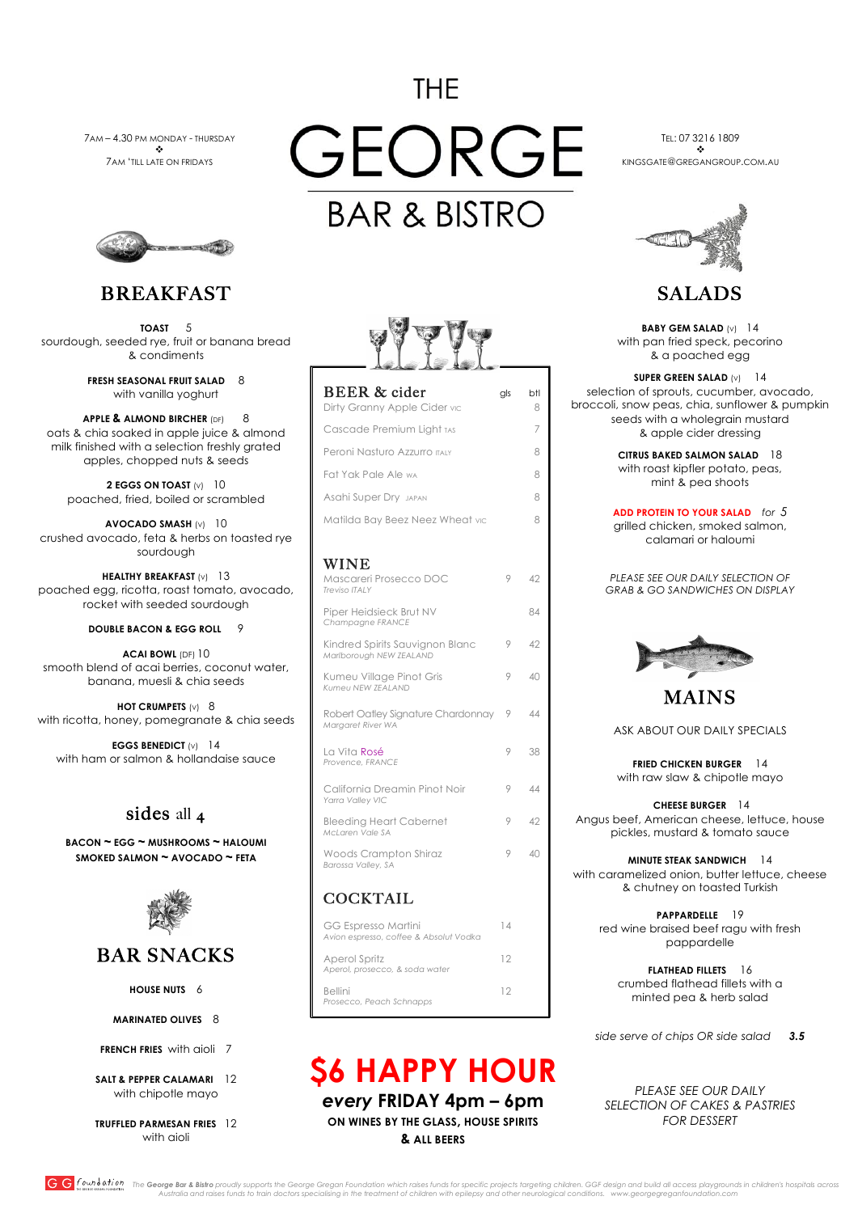# **THE**

GEORGE

**BAR & BISTRO** 

GG found ation The George Bar & Bistro proudly supports the George Gregan Foundation which raises funds for specific projects targeting children. GGF design and build all access playgrounds in children's hospitals across *Australia and raises funds to train doctors specialising in the treatment of children with epilepsy and other neurological conditions. www.georgegreganfoundation.com*

**FRESH SEASONAL FRUIT SALAD 8** with vanilla yoghurt

7AM – 4.30 PM MONDAY - THURSDAY v 7AM 'TILL LATE ON FRIDAYS



TEL: 07 3216 1809  $\cdot$ KINGSGATE@GREGANGROUP.COM.AU



## BREAKFAST

**HEALTHY BREAKFAST** (v) 13 poached egg, ricotta, roast tomato, avocado, rocket with seeded sourdough

**TOAST** 5 sourdough, seeded rye, fruit or banana bread & condiments

**APPLE & ALMOND BIRCHER** (DF)8 oats & chia soaked in apple juice & almond milk finished with a selection freshly grated apples, chopped nuts & seeds

**2 EGGS ON TOAST** (V) 10 poached, fried, boiled or scrambled

**AVOCADO SMASH** (V) 10 crushed avocado, feta & herbs on toasted rye sourdough

### **DOUBLE BACON & EGG ROLL** 9

**ACAI BOWL** (DF) 10 smooth blend of acai berries, coconut water, banana, muesli & chia seeds

**HOT CRUMPETS** (v) 8 with ricotta, honey, pomegranate & chia seeds

**EGGS BENEDICT** (V) 14 with ham or salmon & hollandaise sauce

### sides all 4

**BACON ~ EGG ~ MUSHROOMS ~ HALOUMI SMOKED SALMON ~ AVOCADO ~ FETA**





## BAR SNACKS

**HOUSE NUTS** 6

**MARINATED OLIVES** 8

**FRENCH FRIES** with aioli7

#### **SALT & PEPPER CALAMARI** 12 with chipotle mayo

**TRUFFLED PARMESAN FRIES** 12 with aioli

**\$6 HAPPY HOUR**  *every* **FRIDAY 4pm – 6pm ON WINES BY THE GLASS, HOUSE SPIRITS & ALL BEERS**

## SALADS

**BABY GEM SALAD** (V) 14 with pan fried speck, pecorino & a poached egg

**SUPER GREEN SALAD** (V) 14 selection of sprouts, cucumber, avocado, broccoli, snow peas, chia, sunflower & pumpkin seeds with a wholegrain mustard & apple cider dressing

#### **ADD PROTEIN TO YOUR SALAD** *for 5* grilled chicken, smoked salmon, calamari or haloumi





**MINUTE STEAK SANDWICH** 14 with caramelized onion, butter lettuce, cheese & chutney on toasted Turkish

|                                                            |         |          | SUPER GREEN SALAD $(V)$<br> 4                                                                                        |
|------------------------------------------------------------|---------|----------|----------------------------------------------------------------------------------------------------------------------|
| <b>BEER &amp; cider</b><br>Dirty Granny Apple Cider vic    | gls     | btl<br>8 | selection of sprouts, cucumber, avocado,<br>broccoli, snow peas, chia, sunflower & pumpki                            |
| Cascade Premium Light TAS                                  |         | 7        | seeds with a wholegrain mustard<br>& apple cider dressing                                                            |
| Peroni Nasturo Azzurro ITALY                               |         | 8        | <b>CITRUS BAKED SALMON SALAD</b><br>18                                                                               |
| Fat Yak Pale Ale wa                                        |         | 8        | with roast kipfler potato, peas,<br>mint & pea shoots                                                                |
| <b>Asahi Super Dry JAPAN</b>                               |         | 8        |                                                                                                                      |
| Matilda Bay Beez Neez Wheat vic                            |         | 8        | <b>ADD PROTEIN TO YOUR SALAD</b> for 5<br>grilled chicken, smoked salmon,<br>calamari or haloumi                     |
| <b>WINE</b>                                                |         |          |                                                                                                                      |
| Mascareri Prosecco DOC<br><b>Treviso ITALY</b>             | 9       | 42       | PLEASE SEE OUR DAILY SELECTION OF<br><b>GRAB &amp; GO SANDWICHES ON DISPLAY</b>                                      |
| Piper Heidsieck Brut NV<br>Champagne FRANCE                |         | 84       |                                                                                                                      |
| Kindred Spirits Sauvignon Blanc<br>Marlborough NEW ZEALAND | 9       | 42       |                                                                                                                      |
| Kumeu Village Pinot Gris<br>Kumeu NEW ZEALAND              | 9       | 40       |                                                                                                                      |
|                                                            |         |          | <b>MAINS</b>                                                                                                         |
| Robert Oatley Signature Chardonnay<br>Margaret River WA    | $\circ$ | 44       | ASK ABOUT OUR DAILY SPECIALS                                                                                         |
| La Vita Rosé                                               | 9       | 38       |                                                                                                                      |
| Provence, FRANCE                                           |         |          | <b>FRIED CHICKEN BURGER</b><br>14                                                                                    |
| California Dreamin Pinot Noir                              | 9       | 44       | with raw slaw & chipotle mayo                                                                                        |
| Yarra Valley VIC                                           |         |          | <b>CHEESE BURGER</b><br>$\overline{14}$                                                                              |
| <b>Bleeding Heart Cabernet</b><br>McLaren Vale SA          | 9       | 42       | Angus beef, American cheese, lettuce, house<br>pickles, mustard & tomato sauce                                       |
| Woods Crampton Shiraz<br>Barossa Valley, SA                | 9       | 40       | <b>MINUTE STEAK SANDWICH</b><br>14<br>with caramelized onion, butter lettuce, chees<br>8. chutney on toasted Turkish |

### **COCKTAIL**

**PAPPARDELLE** 19

red wine braised beef ragu with fresh pappardelle

| <b>GG Espresso Martini</b><br>Avion espresso, coffee & Absolut Vodka | 1 4 |
|----------------------------------------------------------------------|-----|
| Aperol Spritz<br>Aperol, prosecco, & soda water                      | 12  |
| <b>Bellini</b><br>Prosecco, Peach Schnapps                           | 12  |

 $\overline{a}$ 

**FLATHEAD FILLETS** 16 crumbed flathead fillets with a minted pea & herb salad

*side serve of chips OR side salad 3.5*

*PLEASE SEE OUR DAILY SELECTION OF CAKES & PASTRIES FOR DESSERT*